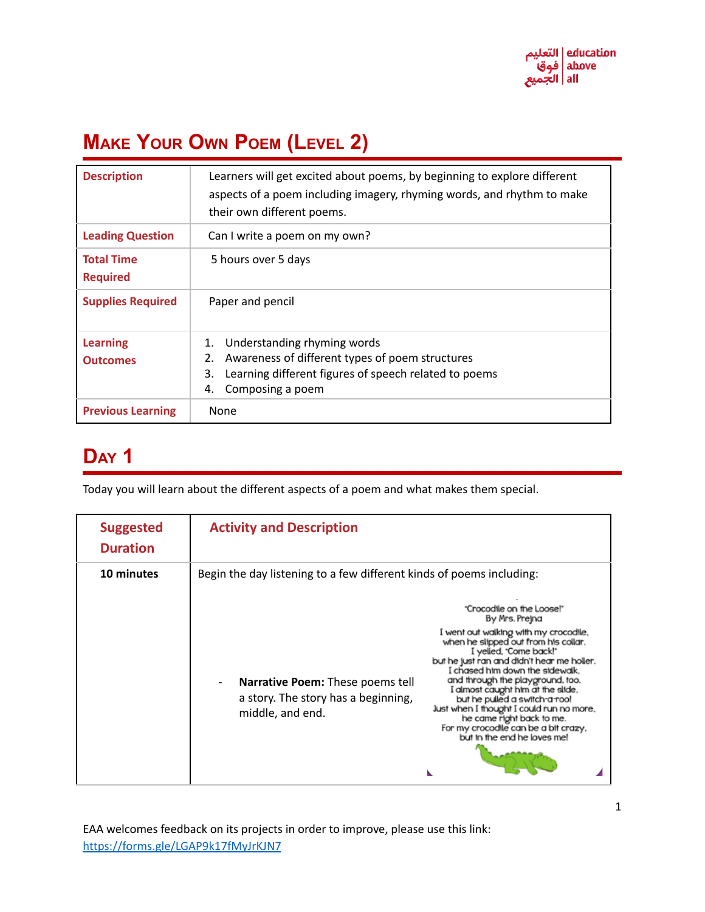

# **MAKE YOUR OWN POEM (LEVEL 2)**

| <b>Description</b>                   | Learners will get excited about poems, by beginning to explore different<br>aspects of a poem including imagery, rhyming words, and rhythm to make<br>their own different poems.    |
|--------------------------------------|-------------------------------------------------------------------------------------------------------------------------------------------------------------------------------------|
| <b>Leading Question</b>              | Can I write a poem on my own?                                                                                                                                                       |
| <b>Total Time</b><br><b>Required</b> | 5 hours over 5 days                                                                                                                                                                 |
| <b>Supplies Required</b>             | Paper and pencil                                                                                                                                                                    |
| <b>Learning</b><br><b>Outcomes</b>   | Understanding rhyming words<br>1.<br>Awareness of different types of poem structures<br>2.<br>Learning different figures of speech related to poems<br>3.<br>Composing a poem<br>4. |
| <b>Previous Learning</b>             | None                                                                                                                                                                                |

### **DAY 1**

Today you will learn about the different aspects of a poem and what makes them special.

| <b>Suggested</b><br><b>Duration</b> | <b>Activity and Description</b>                                                                                                                                                                                                                                                                                                                                                                                                                                                                                                                                                                                                                                          |
|-------------------------------------|--------------------------------------------------------------------------------------------------------------------------------------------------------------------------------------------------------------------------------------------------------------------------------------------------------------------------------------------------------------------------------------------------------------------------------------------------------------------------------------------------------------------------------------------------------------------------------------------------------------------------------------------------------------------------|
| 10 minutes                          | Begin the day listening to a few different kinds of poems including:<br>"Crocodile on the Loose!"<br>By Mrs. Prejna<br>I went out walking with my crocodile,<br>when he slipped out from his collar.<br>I yelled, "Come back!"<br>but he just ran and didn't hear me holler.<br>I chased him down the sidewalk.<br>and through the playground, too.<br>Narrative Poem: These poems tell<br>I almost caught him at the slide,<br>a story. The story has a beginning,<br>but he pulled a switch a roo!<br>Just when I thought I could run no more,<br>middle, and end.<br>he came right back to me.<br>For my crocodile can be a bit crazy,<br>but in the end he loves me! |
|                                     |                                                                                                                                                                                                                                                                                                                                                                                                                                                                                                                                                                                                                                                                          |

EAA welcomes feedback on its projects in order to improve, please use this link: <https://forms.gle/LGAP9k17fMyJrKJN7>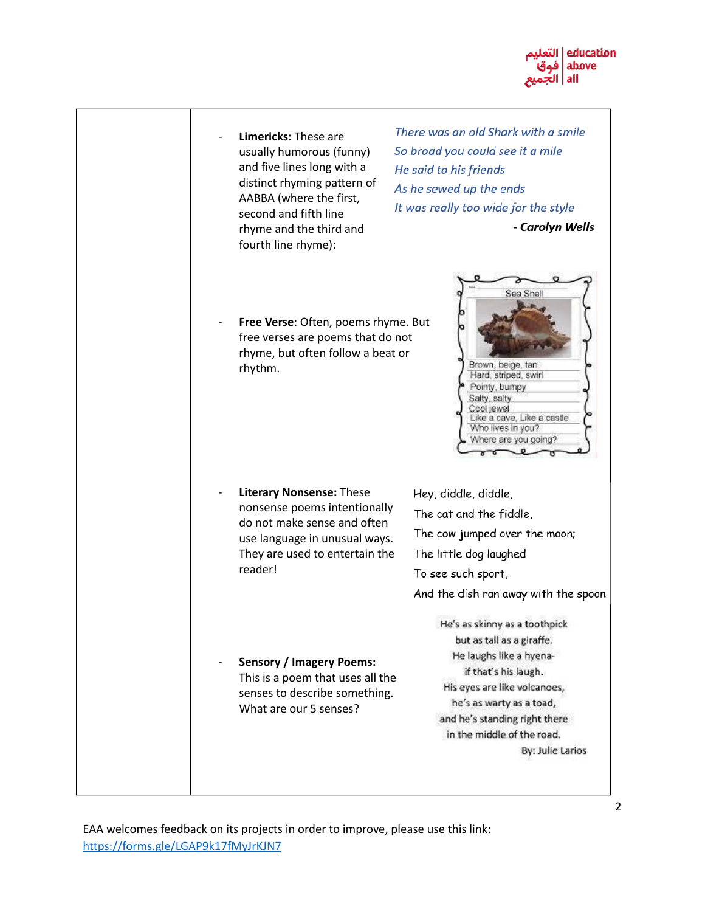

**Limericks: These are** usually humorous (funny) and five lines long with a distinct rhyming pattern of AABBA (where the first, second and fifth line rhyme and the third and fourth line rhyme):

There was an old Shark with a smile So broad you could see it a mile He said to his friends As he sewed up the ends It was really too wide for the style - Carolyn Wells

Sea Shell

Brown, beige, tan Hard, striped, swirl Pointy, bumpy Salty, salty Cool jewel

Like a cave, Like a castle Who lives in you? Where are you going?

Free Verse: Often, poems rhyme. But free verses are poems that do not rhyme, but often follow a beat or rhythm.

**Literary Nonsense: These** nonsense poems intentionally do not make sense and often use language in unusual ways. They are used to entertain the reader!

Hey, diddle, diddle, The cat and the fiddle, The cow jumped over the moon; The little dog laughed To see such sport, And the dish ran away with the spoon He's as skinny as a toothpick

- **Sensory / Imagery Poems:** This is a poem that uses all the senses to describe something. What are our 5 senses?

but as tall as a giraffe. He laughs like a hyenaif that's his laugh. His eyes are like volcanoes, he's as warty as a toad, and he's standing right there in the middle of the road. By: Julie Larios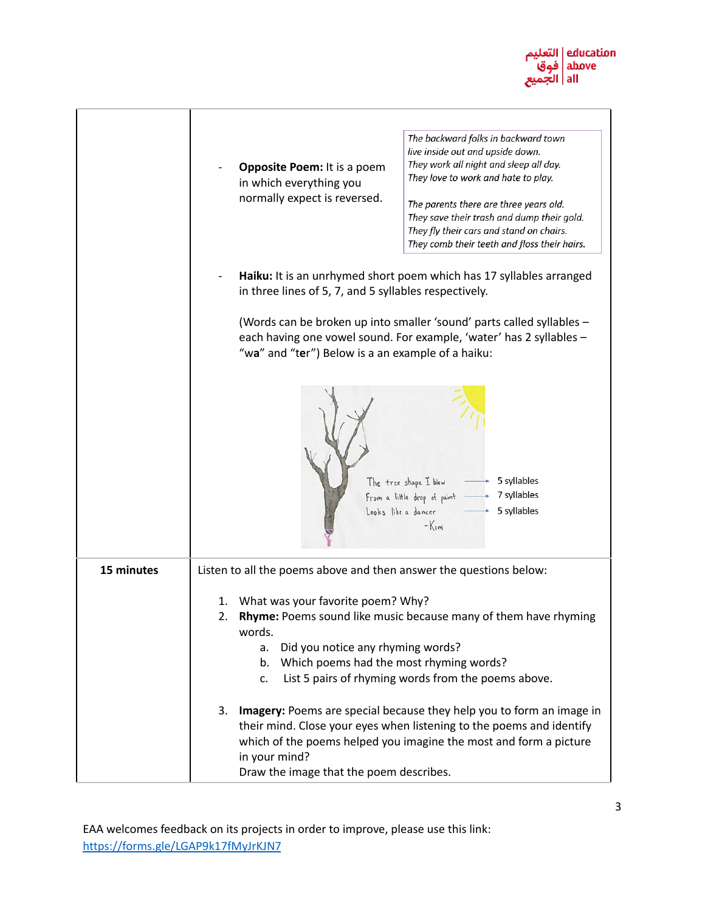

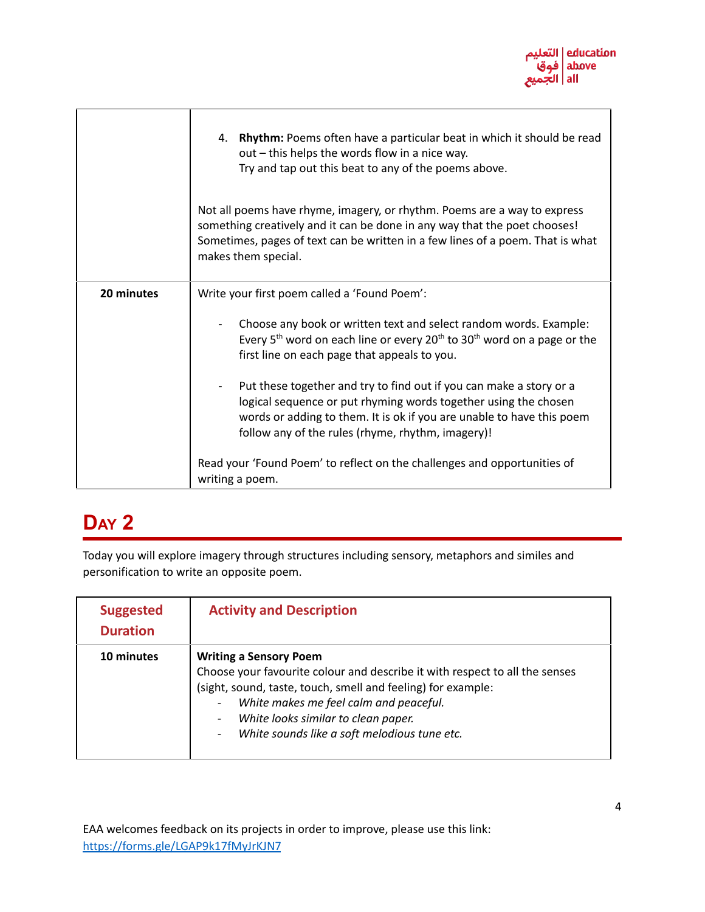

|            | <b>Rhythm:</b> Poems often have a particular beat in which it should be read<br>4.<br>out - this helps the words flow in a nice way.<br>Try and tap out this beat to any of the poems above.                                                                         |
|------------|----------------------------------------------------------------------------------------------------------------------------------------------------------------------------------------------------------------------------------------------------------------------|
|            | Not all poems have rhyme, imagery, or rhythm. Poems are a way to express<br>something creatively and it can be done in any way that the poet chooses!<br>Sometimes, pages of text can be written in a few lines of a poem. That is what<br>makes them special.       |
| 20 minutes | Write your first poem called a 'Found Poem':                                                                                                                                                                                                                         |
|            | Choose any book or written text and select random words. Example:<br>Every 5 <sup>th</sup> word on each line or every 20 <sup>th</sup> to 30 <sup>th</sup> word on a page or the<br>first line on each page that appeals to you.                                     |
|            | Put these together and try to find out if you can make a story or a<br>logical sequence or put rhyming words together using the chosen<br>words or adding to them. It is ok if you are unable to have this poem<br>follow any of the rules (rhyme, rhythm, imagery)! |
|            | Read your 'Found Poem' to reflect on the challenges and opportunities of<br>writing a poem.                                                                                                                                                                          |

Today you will explore imagery through structures including sensory, metaphors and similes and personification to write an opposite poem.

| <b>Suggested</b><br><b>Duration</b> | <b>Activity and Description</b>                                                                                                                                                                                                                                                                               |
|-------------------------------------|---------------------------------------------------------------------------------------------------------------------------------------------------------------------------------------------------------------------------------------------------------------------------------------------------------------|
| 10 minutes                          | <b>Writing a Sensory Poem</b><br>Choose your favourite colour and describe it with respect to all the senses<br>(sight, sound, taste, touch, smell and feeling) for example:<br>White makes me feel calm and peaceful.<br>White looks similar to clean paper.<br>White sounds like a soft melodious tune etc. |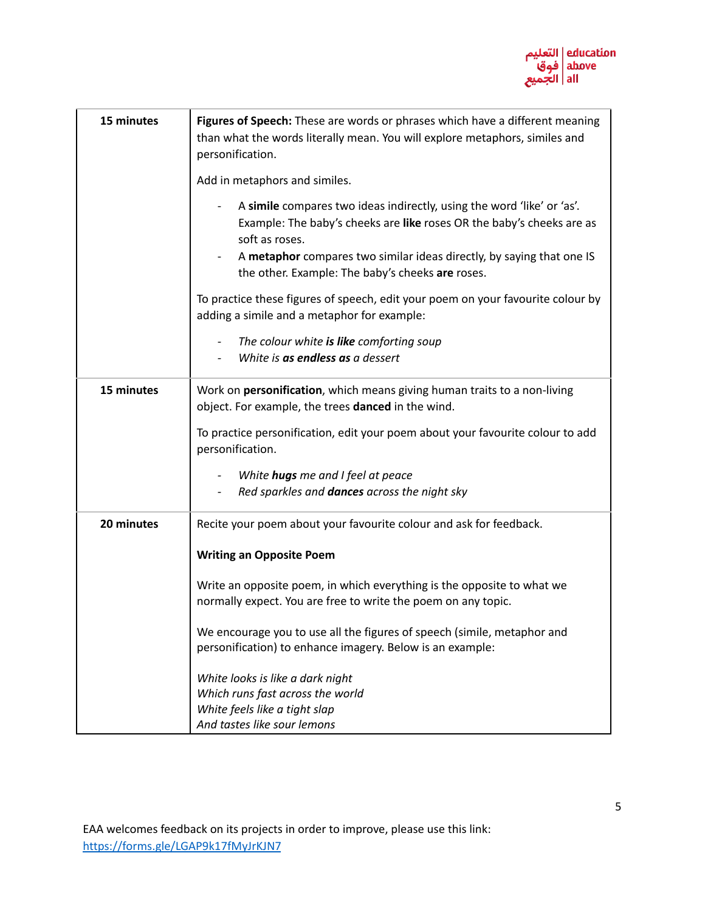

| 15 minutes | Figures of Speech: These are words or phrases which have a different meaning<br>than what the words literally mean. You will explore metaphors, similes and<br>personification.                                                                                                                |
|------------|------------------------------------------------------------------------------------------------------------------------------------------------------------------------------------------------------------------------------------------------------------------------------------------------|
|            | Add in metaphors and similes.                                                                                                                                                                                                                                                                  |
|            | A simile compares two ideas indirectly, using the word 'like' or 'as'.<br>Example: The baby's cheeks are like roses OR the baby's cheeks are as<br>soft as roses.<br>A metaphor compares two similar ideas directly, by saying that one IS<br>the other. Example: The baby's cheeks are roses. |
|            | To practice these figures of speech, edit your poem on your favourite colour by<br>adding a simile and a metaphor for example:                                                                                                                                                                 |
|            | The colour white is like comforting soup<br>White is as endless as a dessert                                                                                                                                                                                                                   |
| 15 minutes | Work on <b>personification</b> , which means giving human traits to a non-living<br>object. For example, the trees danced in the wind.                                                                                                                                                         |
|            | To practice personification, edit your poem about your favourite colour to add<br>personification.                                                                                                                                                                                             |
|            | White hugs me and I feel at peace                                                                                                                                                                                                                                                              |
|            | Red sparkles and <b>dances</b> across the night sky                                                                                                                                                                                                                                            |
| 20 minutes | Recite your poem about your favourite colour and ask for feedback.                                                                                                                                                                                                                             |
|            | <b>Writing an Opposite Poem</b>                                                                                                                                                                                                                                                                |
|            | Write an opposite poem, in which everything is the opposite to what we<br>normally expect. You are free to write the poem on any topic.                                                                                                                                                        |
|            | We encourage you to use all the figures of speech (simile, metaphor and<br>personification) to enhance imagery. Below is an example:                                                                                                                                                           |
|            | White looks is like a dark night                                                                                                                                                                                                                                                               |
|            | Which runs fast across the world                                                                                                                                                                                                                                                               |
|            | White feels like a tight slap                                                                                                                                                                                                                                                                  |
|            | And tastes like sour lemons                                                                                                                                                                                                                                                                    |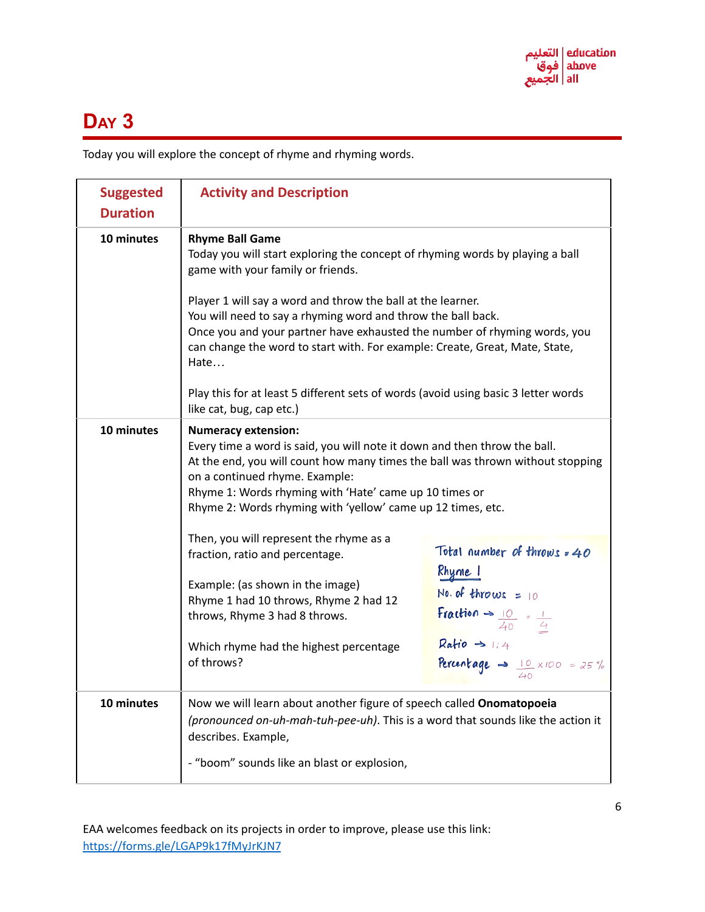

Today you will explore the concept of rhyme and rhyming words.

| <b>Suggested</b><br><b>Duration</b> | <b>Activity and Description</b>                                                                                                                                                                                                                                                                                                                      |                                                                                           |
|-------------------------------------|------------------------------------------------------------------------------------------------------------------------------------------------------------------------------------------------------------------------------------------------------------------------------------------------------------------------------------------------------|-------------------------------------------------------------------------------------------|
| 10 minutes                          | <b>Rhyme Ball Game</b><br>Today you will start exploring the concept of rhyming words by playing a ball<br>game with your family or friends.<br>Player 1 will say a word and throw the ball at the learner.                                                                                                                                          |                                                                                           |
|                                     | You will need to say a rhyming word and throw the ball back.<br>Once you and your partner have exhausted the number of rhyming words, you<br>can change the word to start with. For example: Create, Great, Mate, State,<br>Hate<br>Play this for at least 5 different sets of words (avoid using basic 3 letter words                               |                                                                                           |
|                                     | like cat, bug, cap etc.)                                                                                                                                                                                                                                                                                                                             |                                                                                           |
| 10 minutes                          | <b>Numeracy extension:</b><br>Every time a word is said, you will note it down and then throw the ball.<br>At the end, you will count how many times the ball was thrown without stopping<br>on a continued rhyme. Example:<br>Rhyme 1: Words rhyming with 'Hate' came up 10 times or<br>Rhyme 2: Words rhyming with 'yellow' came up 12 times, etc. |                                                                                           |
|                                     | Then, you will represent the rhyme as a<br>fraction, ratio and percentage.                                                                                                                                                                                                                                                                           | Total number of throws = 40                                                               |
|                                     | Example: (as shown in the image)<br>Rhyme 1 had 10 throws, Rhyme 2 had 12<br>throws, Rhyme 3 had 8 throws.                                                                                                                                                                                                                                           | Rhyme 1<br>No. of throws = $10$<br>Fraction $\rightarrow$ $\frac{10}{40}$ = $\frac{1}{4}$ |
|                                     | Which rhyme had the highest percentage<br>of throws?                                                                                                                                                                                                                                                                                                 | $Ratio \rightarrow 1:4$<br>Percentage -> $\frac{10}{40} \times 100 = 25 \%$               |
| 10 minutes                          | Now we will learn about another figure of speech called Onomatopoeia<br>(pronounced on-uh-mah-tuh-pee-uh). This is a word that sounds like the action it<br>describes. Example,                                                                                                                                                                      |                                                                                           |
|                                     | - "boom" sounds like an blast or explosion,                                                                                                                                                                                                                                                                                                          |                                                                                           |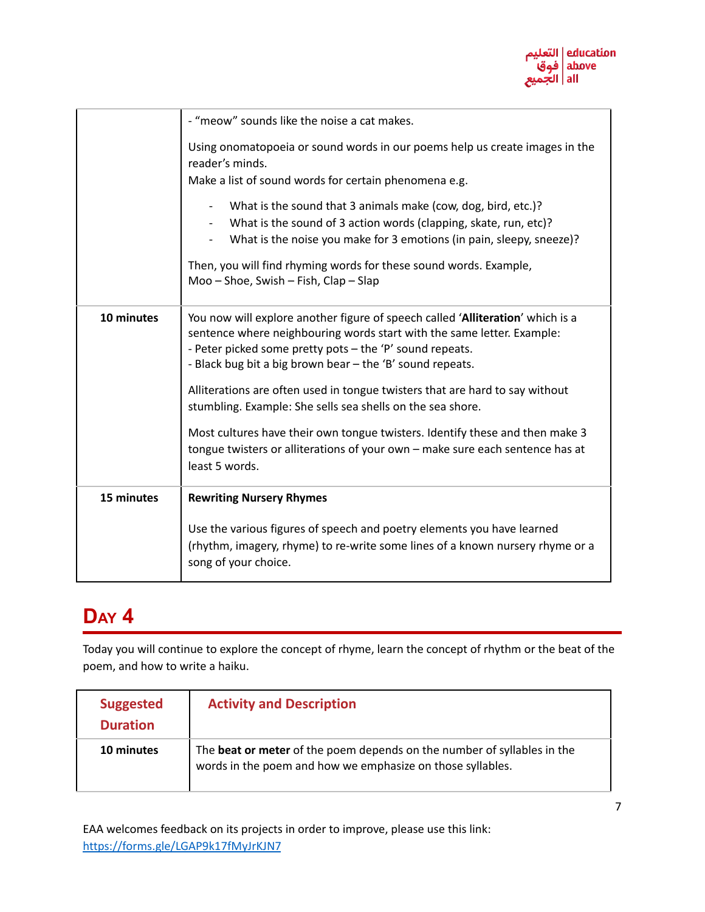

|            | - "meow" sounds like the noise a cat makes.                                                                                                                                                                                                                                                                                                                                                                                                                                                                                                                                                                        |  |
|------------|--------------------------------------------------------------------------------------------------------------------------------------------------------------------------------------------------------------------------------------------------------------------------------------------------------------------------------------------------------------------------------------------------------------------------------------------------------------------------------------------------------------------------------------------------------------------------------------------------------------------|--|
|            | Using onomatopoeia or sound words in our poems help us create images in the<br>reader's minds.<br>Make a list of sound words for certain phenomena e.g.<br>What is the sound that 3 animals make (cow, dog, bird, etc.)?<br>What is the sound of 3 action words (clapping, skate, run, etc)?<br>What is the noise you make for 3 emotions (in pain, sleepy, sneeze)?<br>Then, you will find rhyming words for these sound words. Example,<br>Moo - Shoe, Swish - Fish, Clap - Slap                                                                                                                                 |  |
| 10 minutes | You now will explore another figure of speech called 'Alliteration' which is a<br>sentence where neighbouring words start with the same letter. Example:<br>- Peter picked some pretty pots - the 'P' sound repeats.<br>- Black bug bit a big brown bear - the 'B' sound repeats.<br>Alliterations are often used in tongue twisters that are hard to say without<br>stumbling. Example: She sells sea shells on the sea shore.<br>Most cultures have their own tongue twisters. Identify these and then make 3<br>tongue twisters or alliterations of your own - make sure each sentence has at<br>least 5 words. |  |
| 15 minutes | <b>Rewriting Nursery Rhymes</b><br>Use the various figures of speech and poetry elements you have learned<br>(rhythm, imagery, rhyme) to re-write some lines of a known nursery rhyme or a<br>song of your choice.                                                                                                                                                                                                                                                                                                                                                                                                 |  |

Today you will continue to explore the concept of rhyme, learn the concept of rhythm or the beat of the poem, and how to write a haiku.

| <b>Suggested</b><br><b>Duration</b> | <b>Activity and Description</b>                                                                                                              |
|-------------------------------------|----------------------------------------------------------------------------------------------------------------------------------------------|
| 10 minutes                          | The <b>beat or meter</b> of the poem depends on the number of syllables in the<br>words in the poem and how we emphasize on those syllables. |

EAA welcomes feedback on its projects in order to improve, please use this link: <https://forms.gle/LGAP9k17fMyJrKJN7>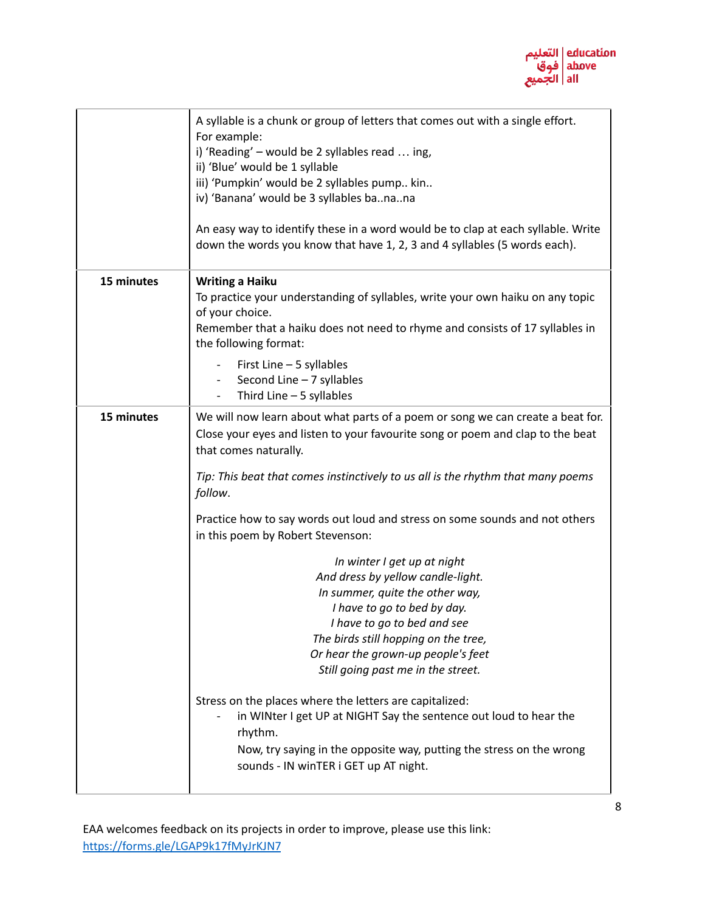

|            | A syllable is a chunk or group of letters that comes out with a single effort.<br>For example:<br>i) 'Reading' - would be 2 syllables read  ing,<br>ii) 'Blue' would be 1 syllable<br>iii) 'Pumpkin' would be 2 syllables pump kin<br>iv) 'Banana' would be 3 syllables banana<br>An easy way to identify these in a word would be to clap at each syllable. Write<br>down the words you know that have 1, 2, 3 and 4 syllables (5 words each). |
|------------|-------------------------------------------------------------------------------------------------------------------------------------------------------------------------------------------------------------------------------------------------------------------------------------------------------------------------------------------------------------------------------------------------------------------------------------------------|
| 15 minutes | <b>Writing a Haiku</b><br>To practice your understanding of syllables, write your own haiku on any topic<br>of your choice.<br>Remember that a haiku does not need to rhyme and consists of 17 syllables in<br>the following format:<br>First Line - 5 syllables                                                                                                                                                                                |
|            | Second Line - 7 syllables<br>Third Line $-5$ syllables                                                                                                                                                                                                                                                                                                                                                                                          |
| 15 minutes | We will now learn about what parts of a poem or song we can create a beat for.<br>Close your eyes and listen to your favourite song or poem and clap to the beat<br>that comes naturally.                                                                                                                                                                                                                                                       |
|            | Tip: This beat that comes instinctively to us all is the rhythm that many poems<br>follow.                                                                                                                                                                                                                                                                                                                                                      |
|            | Practice how to say words out loud and stress on some sounds and not others<br>in this poem by Robert Stevenson:                                                                                                                                                                                                                                                                                                                                |
|            | In winter I get up at night<br>And dress by yellow candle-light.<br>In summer, quite the other way,<br>I have to go to bed by day.<br>I have to go to bed and see<br>The birds still hopping on the tree,<br>Or hear the grown-up people's feet<br>Still going past me in the street.                                                                                                                                                           |
|            | Stress on the places where the letters are capitalized:<br>in WINter I get UP at NIGHT Say the sentence out loud to hear the<br>rhythm.<br>Now, try saying in the opposite way, putting the stress on the wrong<br>sounds - IN winTER i GET up AT night.                                                                                                                                                                                        |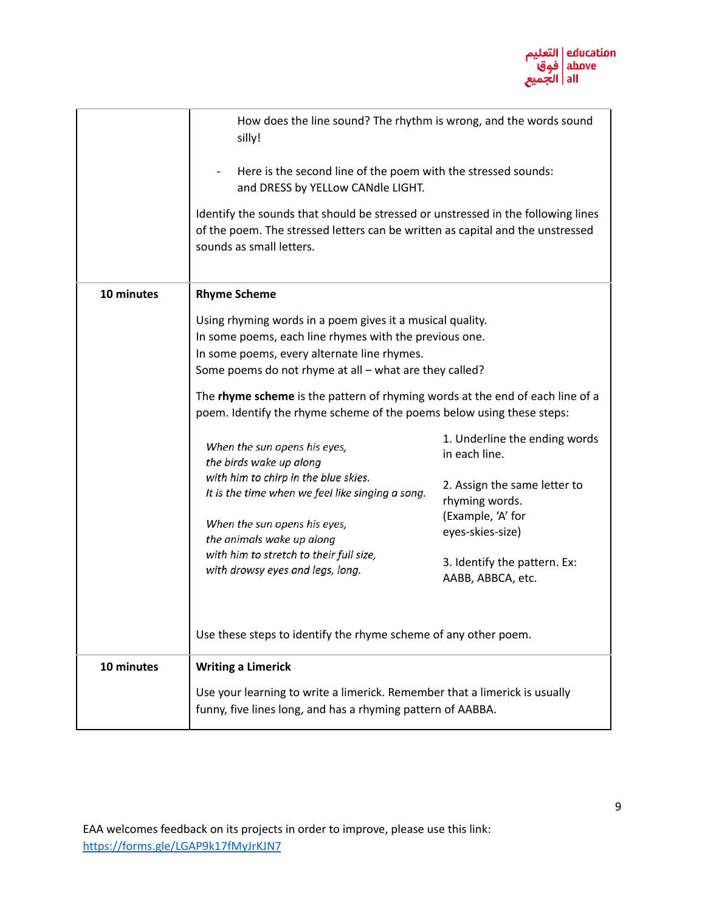

|            | How does the line sound? The rhythm is wrong, and the words sound<br>silly!<br>Here is the second line of the poem with the stressed sounds:<br>and DRESS by YELLow CANdle LIGHT.<br>Identify the sounds that should be stressed or unstressed in the following lines<br>of the poem. The stressed letters can be written as capital and the unstressed<br>sounds as small letters.                                                                                                                                                                                                                                                                                                                                                                                                 |                                                                                                                                                                                                |
|------------|-------------------------------------------------------------------------------------------------------------------------------------------------------------------------------------------------------------------------------------------------------------------------------------------------------------------------------------------------------------------------------------------------------------------------------------------------------------------------------------------------------------------------------------------------------------------------------------------------------------------------------------------------------------------------------------------------------------------------------------------------------------------------------------|------------------------------------------------------------------------------------------------------------------------------------------------------------------------------------------------|
| 10 minutes | <b>Rhyme Scheme</b><br>Using rhyming words in a poem gives it a musical quality.<br>In some poems, each line rhymes with the previous one.<br>In some poems, every alternate line rhymes.<br>Some poems do not rhyme at all - what are they called?<br>The rhyme scheme is the pattern of rhyming words at the end of each line of a<br>poem. Identify the rhyme scheme of the poems below using these steps:<br>When the sun opens his eyes,<br>the birds wake up along<br>with him to chirp in the blue skies.<br>It is the time when we feel like singing a song.<br>When the sun opens his eyes,<br>the animals wake up along<br>with him to stretch to their full size,<br>with drowsy eyes and legs, long.<br>Use these steps to identify the rhyme scheme of any other poem. | 1. Underline the ending words<br>in each line.<br>2. Assign the same letter to<br>rhyming words.<br>(Example, 'A' for<br>eyes-skies-size)<br>3. Identify the pattern. Ex:<br>AABB, ABBCA, etc. |
| 10 minutes | <b>Writing a Limerick</b><br>Use your learning to write a limerick. Remember that a limerick is usually<br>funny, five lines long, and has a rhyming pattern of AABBA.                                                                                                                                                                                                                                                                                                                                                                                                                                                                                                                                                                                                              |                                                                                                                                                                                                |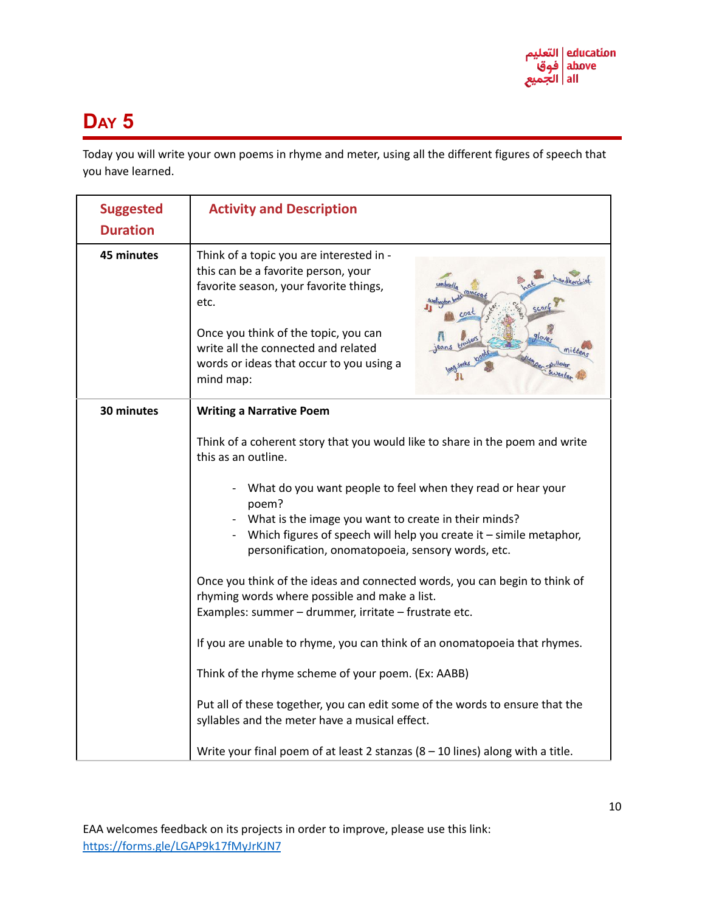Today you will write your own poems in rhyme and meter, using all the different figures of speech that you have learned.

| <b>Suggested</b><br><b>Duration</b> | <b>Activity and Description</b>                                                                                                                                                                                                                                                                                                                                                                                                                                                                                                                                                                                                                                                                                                                                                                                                                                                                                                                       |  |
|-------------------------------------|-------------------------------------------------------------------------------------------------------------------------------------------------------------------------------------------------------------------------------------------------------------------------------------------------------------------------------------------------------------------------------------------------------------------------------------------------------------------------------------------------------------------------------------------------------------------------------------------------------------------------------------------------------------------------------------------------------------------------------------------------------------------------------------------------------------------------------------------------------------------------------------------------------------------------------------------------------|--|
| 45 minutes                          | Think of a topic you are interested in -<br>this can be a favorite person, your<br>favorite season, your favorite things,<br>etc.<br>Once you think of the topic, you can<br>write all the connected and related<br>words or ideas that occur to you using a<br>mind map:                                                                                                                                                                                                                                                                                                                                                                                                                                                                                                                                                                                                                                                                             |  |
| 30 minutes                          | <b>Writing a Narrative Poem</b><br>Think of a coherent story that you would like to share in the poem and write<br>this as an outline.<br>What do you want people to feel when they read or hear your<br>poem?<br>What is the image you want to create in their minds?<br>Which figures of speech will help you create it $-$ simile metaphor,<br>personification, onomatopoeia, sensory words, etc.<br>Once you think of the ideas and connected words, you can begin to think of<br>rhyming words where possible and make a list.<br>Examples: summer - drummer, irritate - frustrate etc.<br>If you are unable to rhyme, you can think of an onomatopoeia that rhymes.<br>Think of the rhyme scheme of your poem. (Ex: AABB)<br>Put all of these together, you can edit some of the words to ensure that the<br>syllables and the meter have a musical effect.<br>Write your final poem of at least 2 stanzas $(8 - 10$ lines) along with a title. |  |